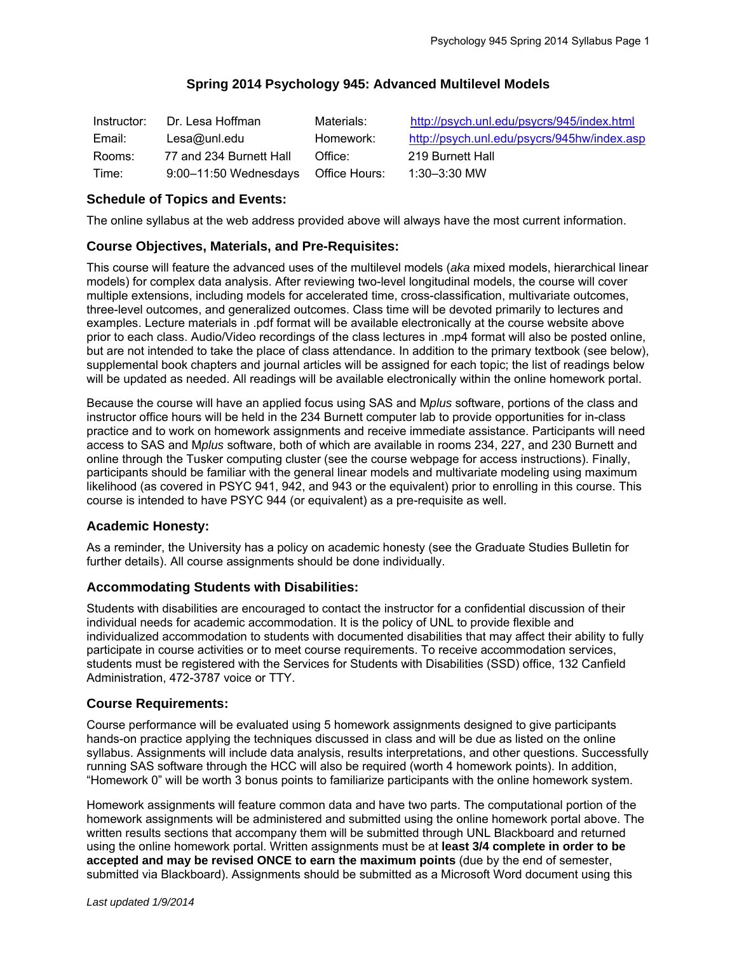## **Spring 2014 Psychology 945: Advanced Multilevel Models**

| Instructor: | Dr. Lesa Hoffman                    | Materials: | http://psych.unl.edu/psycrs/945/index.html  |
|-------------|-------------------------------------|------------|---------------------------------------------|
| Email:      | Lesa@unl.edu                        | Homework:  | http://psych.unl.edu/psycrs/945hw/index.asp |
| Rooms:      | 77 and 234 Burnett Hall             | Office:    | 219 Burnett Hall                            |
| Time:       | 9:00-11:50 Wednesdays Office Hours: |            | $1:30 - 3:30$ MW                            |

## **Schedule of Topics and Events:**

The online syllabus at the web address provided above will always have the most current information.

## **Course Objectives, Materials, and Pre-Requisites:**

This course will feature the advanced uses of the multilevel models (*aka* mixed models, hierarchical linear models) for complex data analysis. After reviewing two-level longitudinal models, the course will cover multiple extensions, including models for accelerated time, cross-classification, multivariate outcomes, three-level outcomes, and generalized outcomes. Class time will be devoted primarily to lectures and examples. Lecture materials in .pdf format will be available electronically at the course website above prior to each class. Audio/Video recordings of the class lectures in .mp4 format will also be posted online, but are not intended to take the place of class attendance. In addition to the primary textbook (see below), supplemental book chapters and journal articles will be assigned for each topic; the list of readings below will be updated as needed. All readings will be available electronically within the online homework portal.

Because the course will have an applied focus using SAS and M*plus* software, portions of the class and instructor office hours will be held in the 234 Burnett computer lab to provide opportunities for in-class practice and to work on homework assignments and receive immediate assistance. Participants will need access to SAS and M*plus* software, both of which are available in rooms 234, 227, and 230 Burnett and online through the Tusker computing cluster (see the course webpage for access instructions). Finally, participants should be familiar with the general linear models and multivariate modeling using maximum likelihood (as covered in PSYC 941, 942, and 943 or the equivalent) prior to enrolling in this course. This course is intended to have PSYC 944 (or equivalent) as a pre-requisite as well.

#### **Academic Honesty:**

As a reminder, the University has a policy on academic honesty (see the Graduate Studies Bulletin for further details). All course assignments should be done individually.

#### **Accommodating Students with Disabilities:**

Students with disabilities are encouraged to contact the instructor for a confidential discussion of their individual needs for academic accommodation. It is the policy of UNL to provide flexible and individualized accommodation to students with documented disabilities that may affect their ability to fully participate in course activities or to meet course requirements. To receive accommodation services, students must be registered with the Services for Students with Disabilities (SSD) office, 132 Canfield Administration, 472-3787 voice or TTY.

#### **Course Requirements:**

Course performance will be evaluated using 5 homework assignments designed to give participants hands-on practice applying the techniques discussed in class and will be due as listed on the online syllabus. Assignments will include data analysis, results interpretations, and other questions. Successfully running SAS software through the HCC will also be required (worth 4 homework points). In addition, "Homework 0" will be worth 3 bonus points to familiarize participants with the online homework system.

Homework assignments will feature common data and have two parts. The computational portion of the homework assignments will be administered and submitted using the online homework portal above. The written results sections that accompany them will be submitted through UNL Blackboard and returned using the online homework portal. Written assignments must be at **least 3/4 complete in order to be accepted and may be revised ONCE to earn the maximum points** (due by the end of semester, submitted via Blackboard). Assignments should be submitted as a Microsoft Word document using this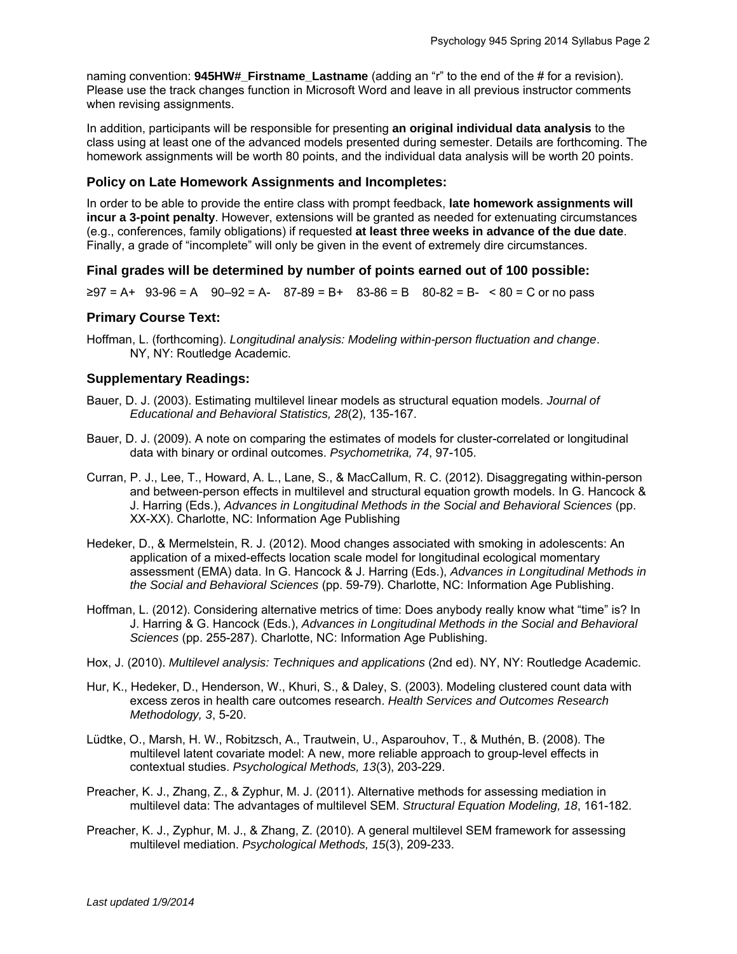naming convention: **945HW#\_Firstname\_Lastname** (adding an "r" to the end of the # for a revision). Please use the track changes function in Microsoft Word and leave in all previous instructor comments when revising assignments.

In addition, participants will be responsible for presenting **an original individual data analysis** to the class using at least one of the advanced models presented during semester. Details are forthcoming. The homework assignments will be worth 80 points, and the individual data analysis will be worth 20 points.

### **Policy on Late Homework Assignments and Incompletes:**

In order to be able to provide the entire class with prompt feedback, **late homework assignments will incur a 3-point penalty**. However, extensions will be granted as needed for extenuating circumstances (e.g., conferences, family obligations) if requested **at least three weeks in advance of the due date**. Finally, a grade of "incomplete" will only be given in the event of extremely dire circumstances.

#### **Final grades will be determined by number of points earned out of 100 possible:**

 $\geq 97 = A + 93 - 96 = A - 90 - 92 = A - 87 - 89 = B + 83 - 86 = B - 80 - 82 = B - 80 = C$  or no pass

#### **Primary Course Text:**

Hoffman, L. (forthcoming). *Longitudinal analysis: Modeling within-person fluctuation and change*. NY, NY: Routledge Academic.

#### **Supplementary Readings:**

- Bauer, D. J. (2003). Estimating multilevel linear models as structural equation models. *Journal of Educational and Behavioral Statistics, 28*(2), 135-167.
- Bauer, D. J. (2009). A note on comparing the estimates of models for cluster-correlated or longitudinal data with binary or ordinal outcomes. *Psychometrika, 74*, 97-105.
- Curran, P. J., Lee, T., Howard, A. L., Lane, S., & MacCallum, R. C. (2012). Disaggregating within-person and between-person effects in multilevel and structural equation growth models. In G. Hancock & J. Harring (Eds.), *Advances in Longitudinal Methods in the Social and Behavioral Sciences* (pp. XX-XX). Charlotte, NC: Information Age Publishing
- Hedeker, D., & Mermelstein, R. J. (2012). Mood changes associated with smoking in adolescents: An application of a mixed-effects location scale model for longitudinal ecological momentary assessment (EMA) data. In G. Hancock & J. Harring (Eds.), *Advances in Longitudinal Methods in the Social and Behavioral Sciences* (pp. 59-79). Charlotte, NC: Information Age Publishing.
- Hoffman, L. (2012). Considering alternative metrics of time: Does anybody really know what "time" is? In J. Harring & G. Hancock (Eds.), *Advances in Longitudinal Methods in the Social and Behavioral Sciences* (pp. 255-287). Charlotte, NC: Information Age Publishing.
- Hox, J. (2010). *Multilevel analysis: Techniques and applications* (2nd ed). NY, NY: Routledge Academic.
- Hur, K., Hedeker, D., Henderson, W., Khuri, S., & Daley, S. (2003). Modeling clustered count data with excess zeros in health care outcomes research. *Health Services and Outcomes Research Methodology, 3*, 5-20.
- Lüdtke, O., Marsh, H. W., Robitzsch, A., Trautwein, U., Asparouhov, T., & Muthén, B. (2008). The multilevel latent covariate model: A new, more reliable approach to group-level effects in contextual studies. *Psychological Methods, 13*(3), 203-229.
- Preacher, K. J., Zhang, Z., & Zyphur, M. J. (2011). Alternative methods for assessing mediation in multilevel data: The advantages of multilevel SEM. *Structural Equation Modeling, 18*, 161-182.
- Preacher, K. J., Zyphur, M. J., & Zhang, Z. (2010). A general multilevel SEM framework for assessing multilevel mediation. *Psychological Methods, 15*(3), 209-233.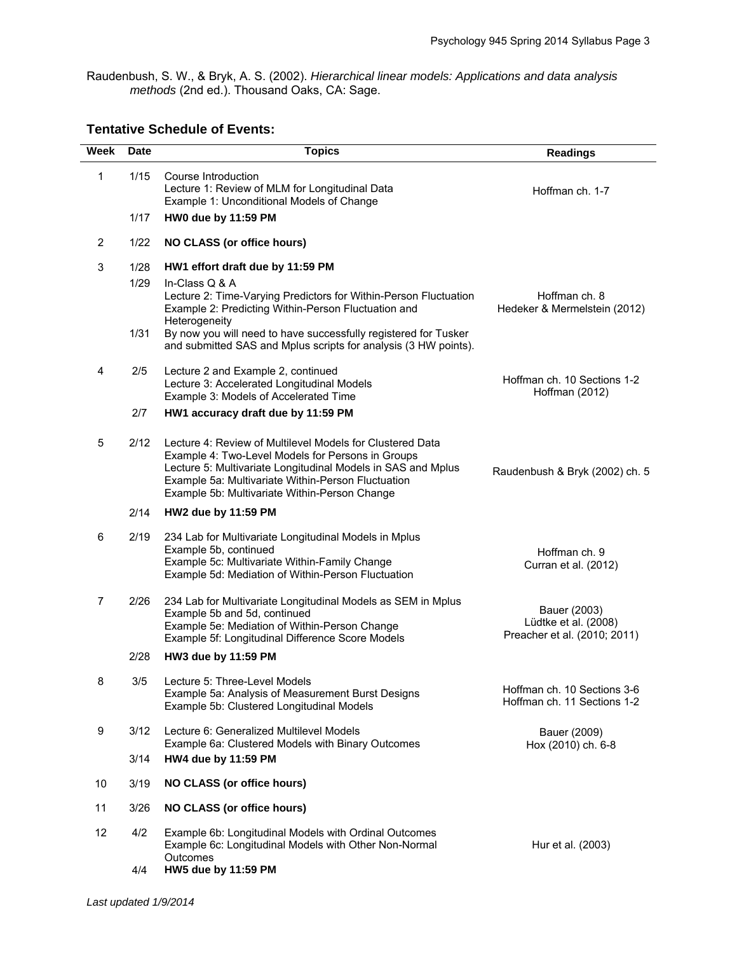Raudenbush, S. W., & Bryk, A. S. (2002). *Hierarchical linear models: Applications and data analysis methods* (2nd ed.). Thousand Oaks, CA: Sage.

# **Tentative Schedule of Events:**

| Week           | Date | <b>Topics</b>                                                                                                                                                                                                                                                                         | <b>Readings</b>                                                      |
|----------------|------|---------------------------------------------------------------------------------------------------------------------------------------------------------------------------------------------------------------------------------------------------------------------------------------|----------------------------------------------------------------------|
| 1              | 1/15 | Course Introduction<br>Lecture 1: Review of MLM for Longitudinal Data<br>Example 1: Unconditional Models of Change                                                                                                                                                                    | Hoffman ch. 1-7                                                      |
|                | 1/17 | HW0 due by 11:59 PM                                                                                                                                                                                                                                                                   |                                                                      |
| $\overline{2}$ | 1/22 | <b>NO CLASS (or office hours)</b>                                                                                                                                                                                                                                                     |                                                                      |
| 3              | 1/28 | HW1 effort draft due by 11:59 PM                                                                                                                                                                                                                                                      |                                                                      |
|                | 1/29 | In-Class Q & A<br>Lecture 2: Time-Varying Predictors for Within-Person Fluctuation<br>Example 2: Predicting Within-Person Fluctuation and<br>Heterogeneity                                                                                                                            | Hoffman ch. 8<br>Hedeker & Mermelstein (2012)                        |
|                | 1/31 | By now you will need to have successfully registered for Tusker<br>and submitted SAS and Mplus scripts for analysis (3 HW points).                                                                                                                                                    |                                                                      |
| 4              | 2/5  | Lecture 2 and Example 2, continued<br>Lecture 3: Accelerated Longitudinal Models<br>Example 3: Models of Accelerated Time                                                                                                                                                             | Hoffman ch. 10 Sections 1-2<br>Hoffman (2012)                        |
|                | 2/7  | HW1 accuracy draft due by 11:59 PM                                                                                                                                                                                                                                                    |                                                                      |
| 5              | 2/12 | Lecture 4: Review of Multilevel Models for Clustered Data<br>Example 4: Two-Level Models for Persons in Groups<br>Lecture 5: Multivariate Longitudinal Models in SAS and Mplus<br>Example 5a: Multivariate Within-Person Fluctuation<br>Example 5b: Multivariate Within-Person Change | Raudenbush & Bryk (2002) ch. 5                                       |
|                | 2/14 | HW2 due by 11:59 PM                                                                                                                                                                                                                                                                   |                                                                      |
| 6              | 2/19 | 234 Lab for Multivariate Longitudinal Models in Mplus<br>Example 5b, continued<br>Example 5c: Multivariate Within-Family Change<br>Example 5d: Mediation of Within-Person Fluctuation                                                                                                 | Hoffman ch. 9<br>Curran et al. (2012)                                |
| 7              | 2/26 | 234 Lab for Multivariate Longitudinal Models as SEM in Mplus<br>Example 5b and 5d, continued<br>Example 5e: Mediation of Within-Person Change<br>Example 5f: Longitudinal Difference Score Models                                                                                     | Bauer (2003)<br>Lüdtke et al. (2008)<br>Preacher et al. (2010; 2011) |
|                | 2/28 | HW3 due by 11:59 PM                                                                                                                                                                                                                                                                   |                                                                      |
| 8              | 3/5  | Lecture 5: Three-Level Models<br>Example 5a: Analysis of Measurement Burst Designs<br>Example 5b: Clustered Longitudinal Models                                                                                                                                                       | Hoffman ch. 10 Sections 3-6<br>Hoffman ch. 11 Sections 1-2           |
| 9              | 3/12 | Lecture 6: Generalized Multilevel Models<br>Example 6a: Clustered Models with Binary Outcomes                                                                                                                                                                                         | Bauer (2009)<br>Hox (2010) ch. 6-8                                   |
|                | 3/14 | HW4 due by 11:59 PM                                                                                                                                                                                                                                                                   |                                                                      |
| 10             | 3/19 | <b>NO CLASS (or office hours)</b>                                                                                                                                                                                                                                                     |                                                                      |
| 11             | 3/26 | <b>NO CLASS (or office hours)</b>                                                                                                                                                                                                                                                     |                                                                      |
| 12             | 4/2  | Example 6b: Longitudinal Models with Ordinal Outcomes<br>Example 6c: Longitudinal Models with Other Non-Normal<br>Outcomes                                                                                                                                                            | Hur et al. (2003)                                                    |
|                | 4/4  | HW5 due by 11:59 PM                                                                                                                                                                                                                                                                   |                                                                      |